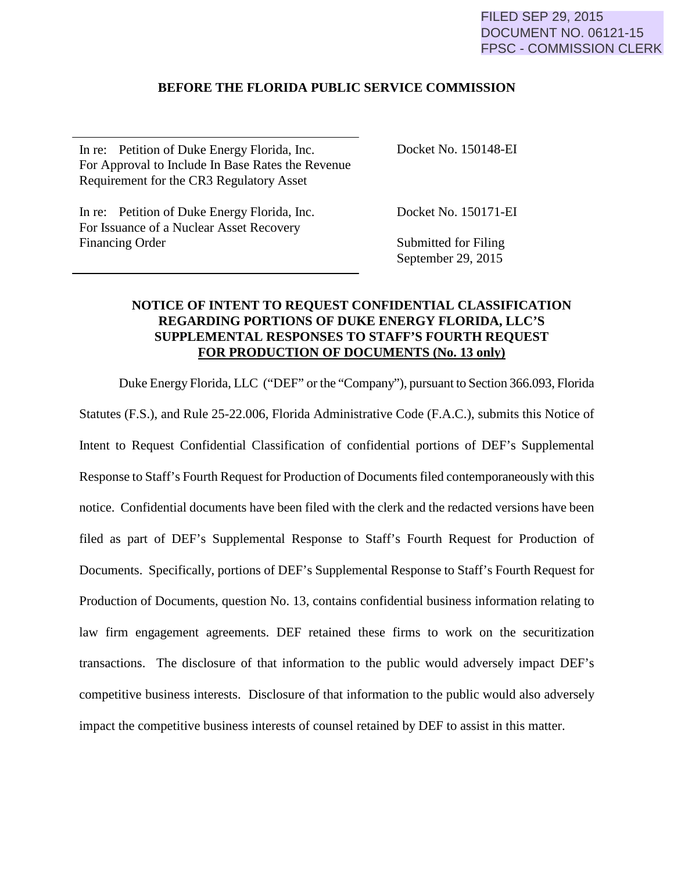### FILED SEP 29, 2015 DOCUMENT NO. 06121-15 FPSC - COMMISSION CLERK

## **BEFORE THE FLORIDA PUBLIC SERVICE COMMISSION**

In re: Petition of Duke Energy Florida, Inc. For Approval to Include In Base Rates the Revenue Requirement for the CR3 Regulatory Asset

In re: Petition of Duke Energy Florida, Inc. For Issuance of a Nuclear Asset Recovery Financing Order

Docket No. 150148-EI

Docket No. 150171-EI

Submitted for Filing September 29, 2015

## **NOTICE OF INTENT TO REQUEST CONFIDENTIAL CLASSIFICATION REGARDING PORTIONS OF DUKE ENERGY FLORIDA, LLC'S SUPPLEMENTAL RESPONSES TO STAFF'S FOURTH REQUEST FOR PRODUCTION OF DOCUMENTS (No. 13 only)**

Duke Energy Florida, LLC ("DEF" or the "Company"), pursuant to Section 366.093, Florida Statutes (F.S.), and Rule 25-22.006, Florida Administrative Code (F.A.C.), submits this Notice of Intent to Request Confidential Classification of confidential portions of DEF's Supplemental Response to Staff's Fourth Request for Production of Documents filed contemporaneously with this notice. Confidential documents have been filed with the clerk and the redacted versions have been filed as part of DEF's Supplemental Response to Staff's Fourth Request for Production of Documents. Specifically, portions of DEF's Supplemental Response to Staff's Fourth Request for Production of Documents, question No. 13, contains confidential business information relating to law firm engagement agreements. DEF retained these firms to work on the securitization transactions. The disclosure of that information to the public would adversely impact DEF's competitive business interests. Disclosure of that information to the public would also adversely impact the competitive business interests of counsel retained by DEF to assist in this matter.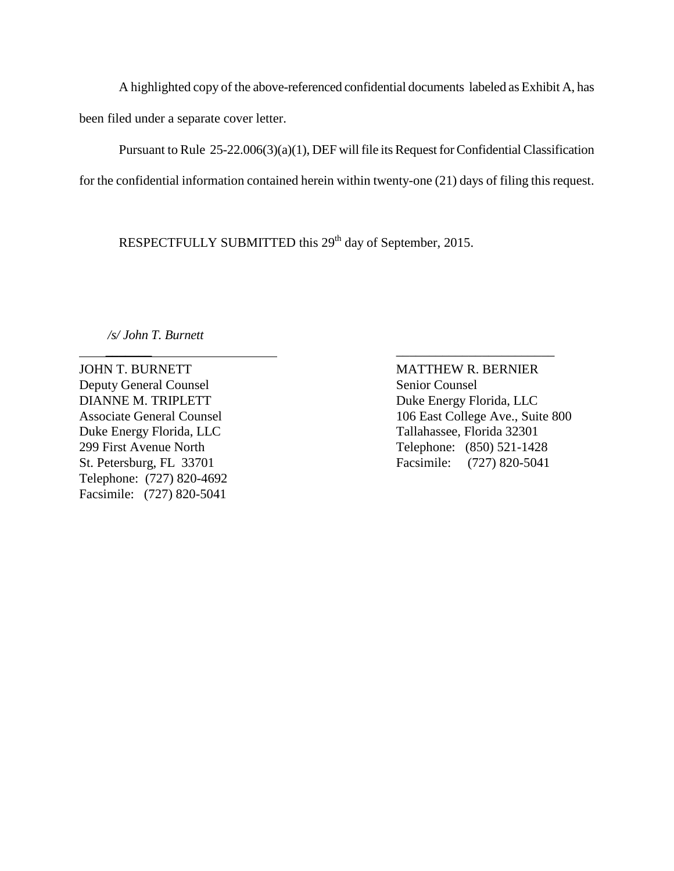A highlighted copy of the above-referenced confidential documents labeled as Exhibit A, has been filed under a separate cover letter.

 Pursuant to Rule 25-22.006(3)(a)(1), DEF will file its Request for Confidential Classification for the confidential information contained herein within twenty-one (21) days of filing this request.

RESPECTFULLY SUBMITTED this 29<sup>th</sup> day of September, 2015.

 *\_\_\_\_\_\_\_* \_\_\_\_\_\_\_\_\_\_\_\_\_\_\_\_\_\_\_\_\_\_\_\_

*/s/ John T. Burnett*

JOHN T. BURNETT MATTHEW R. BERNIER Deputy General Counsel Senior Counsel DIANNE M. TRIPLETT Duke Energy Florida, LLC Duke Energy Florida, LLC Tallahassee, Florida 32301 Telephone: (727) 820-4692 Facsimile: (727) 820-5041

Associate General Counsel 106 East College Ave., Suite 800 299 First Avenue North Telephone: (850) 521-1428 St. Petersburg, FL 33701 Facsimile: (727) 820-5041